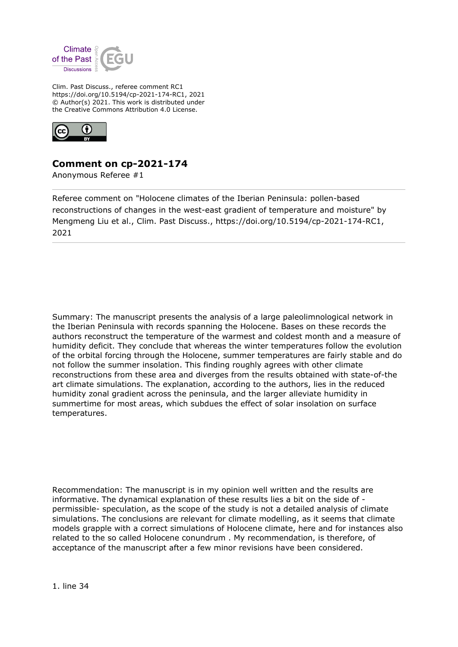

Clim. Past Discuss., referee comment RC1 https://doi.org/10.5194/cp-2021-174-RC1, 2021 © Author(s) 2021. This work is distributed under the Creative Commons Attribution 4.0 License.



## **Comment on cp-2021-174**

Anonymous Referee #1

Referee comment on "Holocene climates of the Iberian Peninsula: pollen-based reconstructions of changes in the west-east gradient of temperature and moisture" by Mengmeng Liu et al., Clim. Past Discuss., https://doi.org/10.5194/cp-2021-174-RC1, 2021

Summary: The manuscript presents the analysis of a large paleolimnological network in the Iberian Peninsula with records spanning the Holocene. Bases on these records the authors reconstruct the temperature of the warmest and coldest month and a measure of humidity deficit. They conclude that whereas the winter temperatures follow the evolution of the orbital forcing through the Holocene, summer temperatures are fairly stable and do not follow the summer insolation. This finding roughly agrees with other climate reconstructions from these area and diverges from the results obtained with state-of-the art climate simulations. The explanation, according to the authors, lies in the reduced humidity zonal gradient across the peninsula, and the larger alleviate humidity in summertime for most areas, which subdues the effect of solar insolation on surface temperatures.

Recommendation: The manuscript is in my opinion well written and the results are informative. The dynamical explanation of these results lies a bit on the side of permissible- speculation, as the scope of the study is not a detailed analysis of climate simulations. The conclusions are relevant for climate modelling, as it seems that climate models grapple with a correct simulations of Holocene climate, here and for instances also related to the so called Holocene conundrum . My recommendation, is therefore, of acceptance of the manuscript after a few minor revisions have been considered.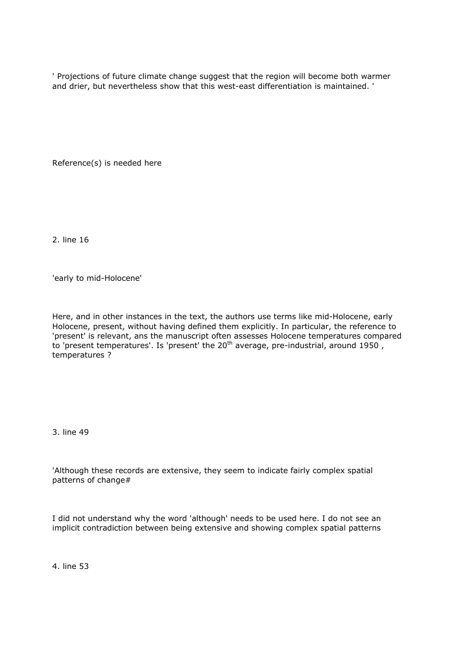' Projections of future climate change suggest that the region will become both warmer and drier, but nevertheless show that this west-east differentiation is maintained. '

Reference(s) is needed here

2. line 16

'early to mid-Holocene'

Here, and in other instances in the text, the authors use terms like mid-Holocene, early Holocene, present, without having defined them explicitly. In particular, the reference to 'present' is relevant, ans the manuscript often assesses Holocene temperatures compared to 'present temperatures'. Is 'present' the 20th average, pre-industrial, around 1950 , temperatures ?

3. line 49

'Although these records are extensive, they seem to indicate fairly complex spatial patterns of change#

I did not understand why the word 'although' needs to be used here. I do not see an implicit contradiction between being extensive and showing complex spatial patterns

4. line 53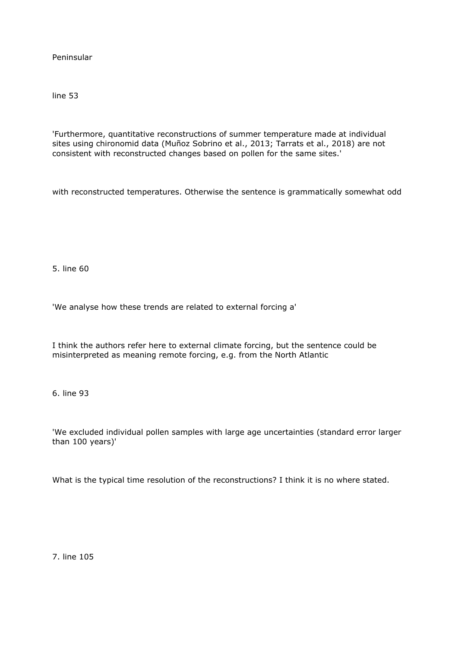Peninsular

line 53

'Furthermore, quantitative reconstructions of summer temperature made at individual sites using chironomid data (Muñoz Sobrino et al., 2013; Tarrats et al., 2018) are not consistent with reconstructed changes based on pollen for the same sites.'

with reconstructed temperatures. Otherwise the sentence is grammatically somewhat odd

5. line 60

'We analyse how these trends are related to external forcing a'

I think the authors refer here to external climate forcing, but the sentence could be misinterpreted as meaning remote forcing, e.g. from the North Atlantic

6. line 93

'We excluded individual pollen samples with large age uncertainties (standard error larger than 100 years)'

What is the typical time resolution of the reconstructions? I think it is no where stated.

7. line 105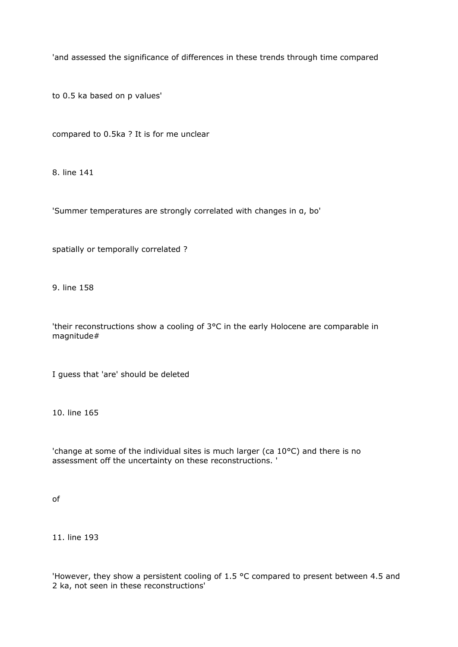'and assessed the significance of differences in these trends through time compared

to 0.5 ka based on p values'

compared to 0.5ka ? It is for me unclear

8. line 141

'Summer temperatures are strongly correlated with changes in α, bo'

spatially or temporally correlated ?

9. line 158

'their reconstructions show a cooling of 3°C in the early Holocene are comparable in magnitude#

I guess that 'are' should be deleted

10. line 165

'change at some of the individual sites is much larger (ca 10°C) and there is no assessment off the uncertainty on these reconstructions. '

of

11. line 193

'However, they show a persistent cooling of 1.5 °C compared to present between 4.5 and 2 ka, not seen in these reconstructions'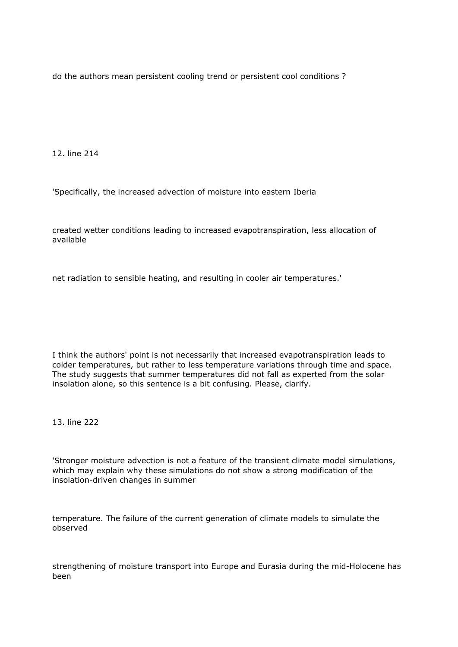do the authors mean persistent cooling trend or persistent cool conditions ?

12. line 214

'Specifically, the increased advection of moisture into eastern Iberia

created wetter conditions leading to increased evapotranspiration, less allocation of available

net radiation to sensible heating, and resulting in cooler air temperatures.'

I think the authors' point is not necessarily that increased evapotranspiration leads to colder temperatures, but rather to less temperature variations through time and space. The study suggests that summer temperatures did not fall as experted from the solar insolation alone, so this sentence is a bit confusing. Please, clarify.

13. line 222

'Stronger moisture advection is not a feature of the transient climate model simulations, which may explain why these simulations do not show a strong modification of the insolation-driven changes in summer

temperature. The failure of the current generation of climate models to simulate the observed

strengthening of moisture transport into Europe and Eurasia during the mid-Holocene has been